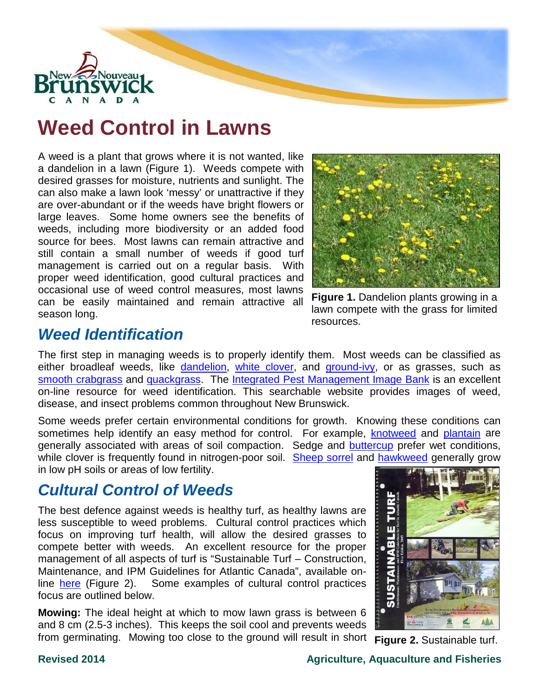

# **Weed Control in Lawns**

A weed is a plant that grows where it is not wanted, like a dandelion in a lawn (Figure 1). Weeds compete with desired grasses for moisture, nutrients and sunlight. The can also make a lawn look 'messy' or unattractive if they are over-abundant or if the weeds have bright flowers or large leaves. Some home owners see the benefits of weeds, including more biodiversity or an added food source for bees. Most lawns can remain attractive and still contain a small number of weeds if good turf management is carried out on a regular basis. With proper weed identification, good cultural practices and occasional use of weed control measures, most lawns can be easily maintained and remain attractive all season long.



**Figure 1.** Dandelion plants growing in a lawn compete with the grass for limited resources.

### *Weed Identification*

The first step in managing weeds is to properly identify them. Most weeds can be classified as either broadleaf weeds, like [dandelion,](http://daafmaapextweb.gnb.ca/010-002/Thumbnails.aspx?Culture=en-CA&Id=202) [white clover,](http://daafmaapextweb.gnb.ca/010-002/Thumbnails.aspx?Culture=en-CA&Id=227) and [ground-ivy,](http://daafmaapextweb.gnb.ca/010-002/Thumbnails.aspx?Culture=en-CA&Id=232) or as grasses, such as [smooth crabgrass](http://daafmaapextweb.gnb.ca/010-002/Thumbnails.aspx?Culture=en-CA&Id=235) and [quackgrass.](http://daafmaapextweb.gnb.ca/010-002/Thumbnails.aspx?Culture=en-CA&Id=221) The [Integrated Pest Management Image Bank](http://daafmaapextweb.gnb.ca/010-002/Default.aspx?Culture=en-CA) is an excellent on-line resource for weed identification. This searchable website provides images of weed, disease, and insect problems common throughout New Brunswick.

Some weeds prefer certain environmental conditions for growth. Knowing these conditions can sometimes help identify an easy method for control. For example, [knotweed](http://daafmaapextweb.gnb.ca/010-002/Thumbnails.aspx?Culture=en-CA&Id=175) and [plantain](http://daafmaapextweb.gnb.ca/010-002/Thumbnails.aspx?Culture=en-CA&Id=37) are generally associated with areas of soil compaction. Sedge and **buttercup** prefer wet conditions, while clover is frequently found in nitrogen-poor soil. [Sheep sorrel](http://daafmaapextweb.gnb.ca/010-002/Thumbnails.aspx?Culture=en-CA&Id=199) and [hawkweed](http://daafmaapextweb.gnb.ca/010-002/Thumbnails.aspx?Culture=en-CA&Id=216) generally grow in low pH soils or areas of low fertility.

## *Cultural Control of Weeds*

The best defence against weeds is healthy turf, as healthy lawns are less susceptible to weed problems. Cultural control practices which focus on improving turf health, will allow the desired grasses to compete better with weeds. An excellent resource for the proper management of all aspects of turf is "Sustainable Turf – Construction, Maintenance, and IPM Guidelines for Atlantic Canada", available online [here](http://www.landscapenbmember.com/sustainable-turf-manual/) (Figure 2). Some examples of cultural control practices focus are outlined below.

**Mowing:** The ideal height at which to mow lawn grass is between 6 and 8 cm (2.5-3 inches). This keeps the soil cool and prevents weeds from germinating. Mowing too close to the ground will result in short **Figure 2.** Sustainable turf.

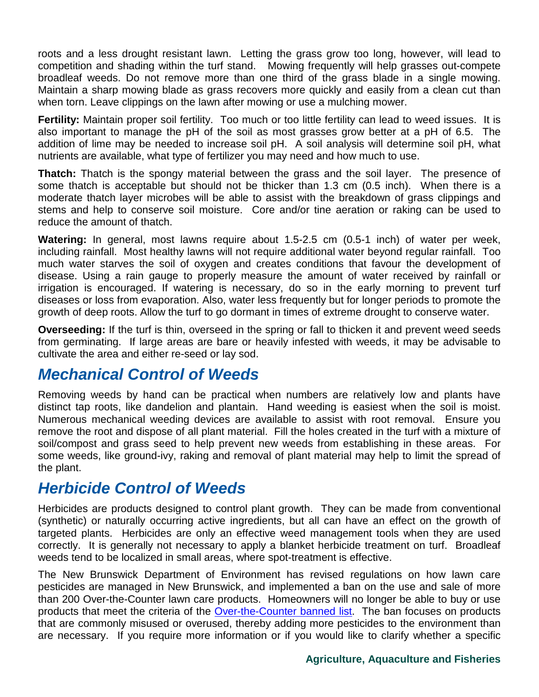roots and a less drought resistant lawn. Letting the grass grow too long, however, will lead to competition and shading within the turf stand. Mowing frequently will help grasses out-compete broadleaf weeds. Do not remove more than one third of the grass blade in a single mowing. Maintain a sharp mowing blade as grass recovers more quickly and easily from a clean cut than when torn. Leave clippings on the lawn after mowing or use a mulching mower.

**Fertility:** Maintain proper soil fertility. Too much or too little fertility can lead to weed issues. It is also important to manage the pH of the soil as most grasses grow better at a pH of 6.5. The addition of lime may be needed to increase soil pH. A soil analysis will determine soil pH, what nutrients are available, what type of fertilizer you may need and how much to use.

**Thatch:** Thatch is the spongy material between the grass and the soil layer. The presence of some thatch is acceptable but should not be thicker than 1.3 cm (0.5 inch). When there is a moderate thatch layer microbes will be able to assist with the breakdown of grass clippings and stems and help to conserve soil moisture. Core and/or tine aeration or raking can be used to reduce the amount of thatch.

**Watering:** In general, most lawns require about 1.5-2.5 cm (0.5-1 inch) of water per week, including rainfall. Most healthy lawns will not require additional water beyond regular rainfall. Too much water starves the soil of oxygen and creates conditions that favour the development of disease. Using a rain gauge to properly measure the amount of water received by rainfall or irrigation is encouraged. If watering is necessary, do so in the early morning to prevent turf diseases or loss from evaporation. Also, water less frequently but for longer periods to promote the growth of deep roots. Allow the turf to go dormant in times of extreme drought to conserve water.

**Overseeding:** If the turf is thin, overseed in the spring or fall to thicken it and prevent weed seeds from germinating. If large areas are bare or heavily infested with weeds, it may be advisable to cultivate the area and either re-seed or lay sod.

#### *Mechanical Control of Weeds*

Removing weeds by hand can be practical when numbers are relatively low and plants have distinct tap roots, like dandelion and plantain. Hand weeding is easiest when the soil is moist. Numerous mechanical weeding devices are available to assist with root removal. Ensure you remove the root and dispose of all plant material. Fill the holes created in the turf with a mixture of soil/compost and grass seed to help prevent new weeds from establishing in these areas. For some weeds, like ground-ivy, raking and removal of plant material may help to limit the spread of the plant.

#### *Herbicide Control of Weeds*

Herbicides are products designed to control plant growth. They can be made from conventional (synthetic) or naturally occurring active ingredients, but all can have an effect on the growth of targeted plants. Herbicides are only an effective weed management tools when they are used correctly. It is generally not necessary to apply a blanket herbicide treatment on turf. Broadleaf weeds tend to be localized in small areas, where spot-treatment is effective.

The New Brunswick Department of Environment has revised regulations on how lawn care pesticides are managed in New Brunswick, and implemented a ban on the use and sale of more than 200 Over-the-Counter lawn care products. Homeowners will no longer be able to buy or use products that meet the criteria of the [Over-the-Counter banned list.](http://www2.gnb.ca/content/dam/gnb/Departments/env/pdf/LandWaste-TerreDechets/OverTheCounter.pdf) The ban focuses on products that are commonly misused or overused, thereby adding more pesticides to the environment than are necessary. If you require more information or if you would like to clarify whether a specific

#### **Agriculture, Aquaculture and Fisheries**